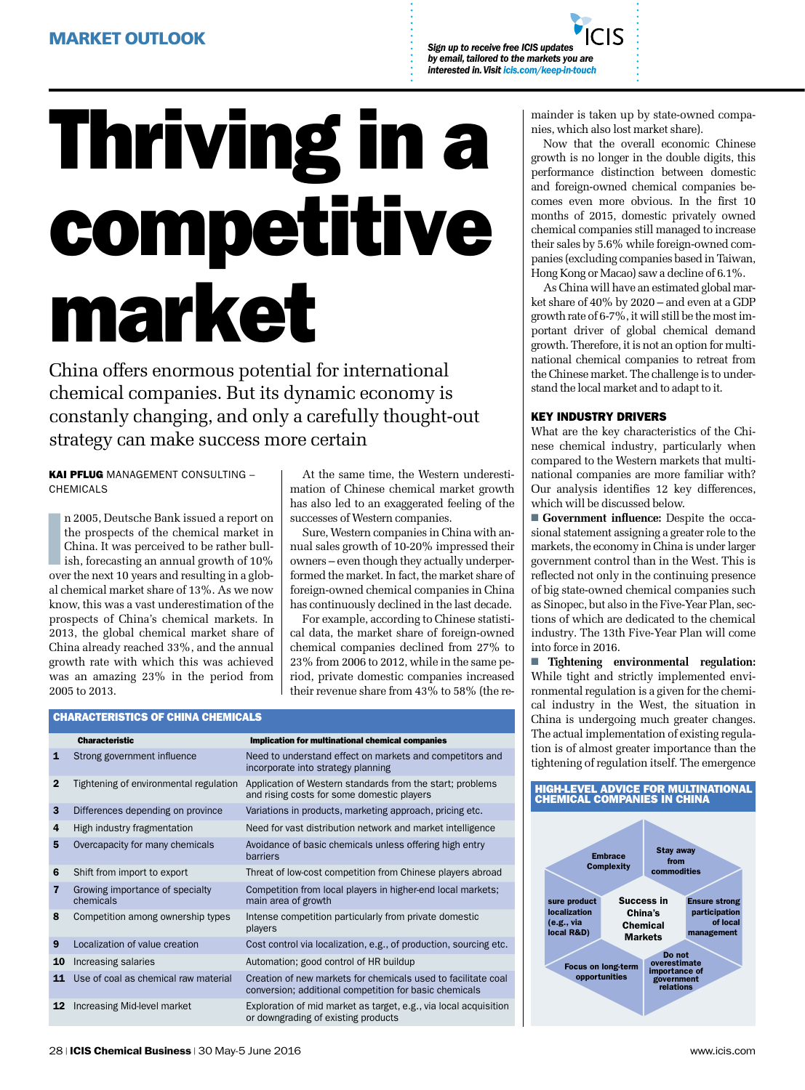*Sign up to receive free ICIS updates by email, tailored to the markets you are interested in. Visit icis.com/keep-in-touch*

# Thriving in a competitive market

China offers enormous potential for international chemical companies. But its dynamic economy is constanly changing, and only a carefully thought-out strategy can make success more certain

KAI PFLUG MANAGEMENT CONSULTING -**CHEMICALS** 

n 2005, Deutsche Bank issued a report on<br>the prospects of the chemical market in<br>China. It was perceived to be rather bull-<br>ish, forecasting an annual growth of 10%<br>over the next 10 years and resulting in a globn 2005, Deutsche Bank issued a report on the prospects of the chemical market in China. It was perceived to be rather bullish, forecasting an annual growth of 10% al chemical market share of 13%. As we now know, this was a vast underestimation of the prospects of China's chemical markets. In 2013, the global chemical market share of China already reached 33%, and the annual growth rate with which this was achieved was an amazing 23% in the period from 2005 to 2013.

At the same time, the Western underestimation of Chinese chemical market growth has also led to an exaggerated feeling of the successes of Western companies.

Sure, Western companies in China with annual sales growth of 10-20% impressed their owners – even though they actually underperformed the market. In fact, the market share of foreign-owned chemical companies in China has continuously declined in the last decade.

For example, according to Chinese statistical data, the market share of foreign-owned chemical companies declined from 27% to 23% from 2006 to 2012, while in the same period, private domestic companies increased their revenue share from 43% to 58% (the re-

|  |  | CHARACTERISTICS OF CHINA CHEMICALS |
|--|--|------------------------------------|
|  |  |                                    |

|              | <b>Characteristic</b>                        | Implication for multinational chemical companies                                                                        |
|--------------|----------------------------------------------|-------------------------------------------------------------------------------------------------------------------------|
| 1            | Strong government influence                  | Need to understand effect on markets and competitors and<br>incorporate into strategy planning                          |
| $\mathbf{2}$ | Tightening of environmental regulation       | Application of Western standards from the start; problems<br>and rising costs for some domestic players                 |
| 3            | Differences depending on province            | Variations in products, marketing approach, pricing etc.                                                                |
| 4            | High industry fragmentation                  | Need for vast distribution network and market intelligence                                                              |
| 5            | Overcapacity for many chemicals              | Avoidance of basic chemicals unless offering high entry<br>barriers                                                     |
| 6            | Shift from import to export                  | Threat of low-cost competition from Chinese players abroad                                                              |
| 7            | Growing importance of specialty<br>chemicals | Competition from local players in higher-end local markets;<br>main area of growth                                      |
| 8            | Competition among ownership types            | Intense competition particularly from private domestic<br>players                                                       |
| 9            | Localization of value creation               | Cost control via localization, e.g., of production, sourcing etc.                                                       |
| 10           | Increasing salaries                          | Automation; good control of HR buildup                                                                                  |
| 11           | Use of coal as chemical raw material         | Creation of new markets for chemicals used to facilitate coal<br>conversion; additional competition for basic chemicals |
| 12           | Increasing Mid-level market                  | Exploration of mid market as target, e.g., via local acquisition<br>or downgrading of existing products                 |

mainder is taken up by state-owned companies, which also lost market share).

Now that the overall economic Chinese growth is no longer in the double digits, this performance distinction between domestic and foreign-owned chemical companies becomes even more obvious. In the first 10 months of 2015, domestic privately owned chemical companies still managed to increase their sales by 5.6% while foreign-owned companies (excluding companies based in Taiwan, Hong Kong or Macao) saw a decline of 6.1%.

As China will have an estimated global market share of 40% by 2020 – and even at a GDP growth rate of 6-7%, it will still be the most important driver of global chemical demand growth. Therefore, it is not an option for multinational chemical companies to retreat from the Chinese market. The challenge is to understand the local market and to adapt to it.

#### KEY industry drivers

What are the key characteristics of the Chinese chemical industry, particularly when compared to the Western markets that multinational companies are more familiar with? Our analysis identifies 12 key differences, which will be discussed below.

■ **Government influence:** Despite the occasional statement assigning a greater role to the markets, the economy in China is under larger government control than in the West. This is reflected not only in the continuing presence of big state-owned chemical companies such as Sinopec, but also in the Five-Year Plan, sections of which are dedicated to the chemical industry. The 13th Five-Year Plan will come into force in 2016.

■ **Tightening environmental regulation:**  While tight and strictly implemented environmental regulation is a given for the chemical industry in the West, the situation in China is undergoing much greater changes. The actual implementation of existing regulation is of almost greater importance than the tightening of regulation itself. The emergence

### HIGH-LEVEL ADVICE FOR MULTINATIONAL CHEMICAL COMPANIES IN CHINA